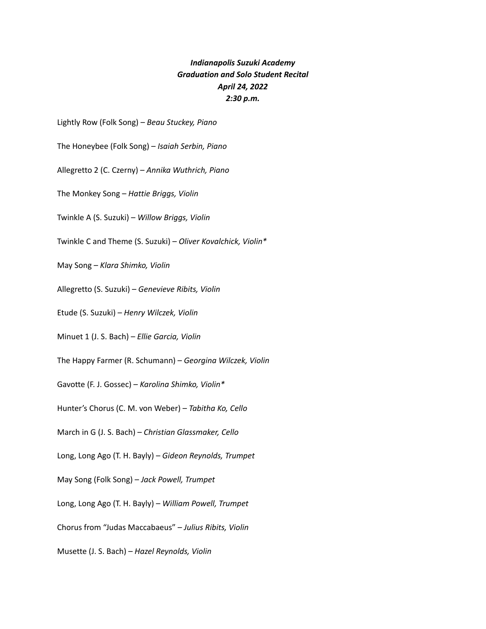## *Indianapolis Suzuki Academy Graduation and Solo Student Recital April 24, 2022 2:30 p.m.*

Lightly Row (Folk Song) – *Beau Stuckey, Piano*

The Honeybee (Folk Song) – *Isaiah Serbin, Piano*

Allegretto 2 (C. Czerny) – *Annika Wuthrich, Piano*

The Monkey Song – *Hattie Briggs, Violin*

Twinkle A (S. Suzuki) – *Willow Briggs, Violin*

Twinkle C and Theme (S. Suzuki) – *Oliver Kovalchick, Violin\**

May Song – *Klara Shimko, Violin*

Allegretto (S. Suzuki) – *Genevieve Ribits, Violin*

Etude (S. Suzuki) – *Henry Wilczek, Violin*

Minuet 1 (J. S. Bach) – *Ellie Garcia, Violin*

The Happy Farmer (R. Schumann) – *Georgina Wilczek, Violin*

Gavotte (F. J. Gossec) – *Karolina Shimko, Violin\**

Hunter's Chorus (C. M. von Weber) – *Tabitha Ko, Cello*

March in G (J. S. Bach) – *Christian Glassmaker, Cello*

Long, Long Ago (T. H. Bayly) – *Gideon Reynolds, Trumpet*

May Song (Folk Song) – *Jack Powell, Trumpet*

Long, Long Ago (T. H. Bayly) – *William Powell, Trumpet*

Chorus from "Judas Maccabaeus" – *Julius Ribits, Violin*

Musette (J. S. Bach) – *Hazel Reynolds, Violin*